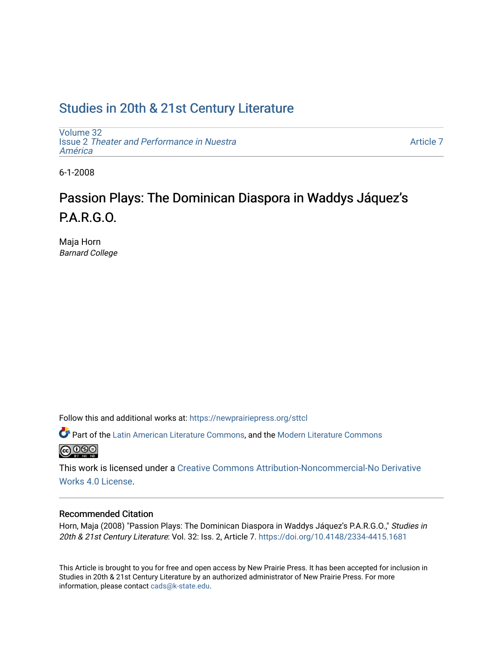# [Studies in 20th & 21st Century Literature](https://newprairiepress.org/sttcl)

[Volume 32](https://newprairiepress.org/sttcl/vol32) Issue 2 [Theater and Performance in Nuestra](https://newprairiepress.org/sttcl/vol32/iss2) [América](https://newprairiepress.org/sttcl/vol32/iss2) 

[Article 7](https://newprairiepress.org/sttcl/vol32/iss2/7) 

6-1-2008

# Passion Plays: The Dominican Diaspora in Waddys Jáquez's P.A.R.G.O.

Maja Horn Barnard College

Follow this and additional works at: [https://newprairiepress.org/sttcl](https://newprairiepress.org/sttcl?utm_source=newprairiepress.org%2Fsttcl%2Fvol32%2Fiss2%2F7&utm_medium=PDF&utm_campaign=PDFCoverPages) 

**Part of the [Latin American Literature Commons,](http://network.bepress.com/hgg/discipline/547?utm_source=newprairiepress.org%2Fsttcl%2Fvol32%2Fiss2%2F7&utm_medium=PDF&utm_campaign=PDFCoverPages) and the Modern Literature Commons @000** 

This work is licensed under a [Creative Commons Attribution-Noncommercial-No Derivative](https://creativecommons.org/licenses/by-nc-nd/4.0/)  [Works 4.0 License](https://creativecommons.org/licenses/by-nc-nd/4.0/).

## Recommended Citation

Horn, Maja (2008) "Passion Plays: The Dominican Diaspora in Waddys Jáquez's P.A.R.G.O.," Studies in 20th & 21st Century Literature: Vol. 32: Iss. 2, Article 7. <https://doi.org/10.4148/2334-4415.1681>

This Article is brought to you for free and open access by New Prairie Press. It has been accepted for inclusion in Studies in 20th & 21st Century Literature by an authorized administrator of New Prairie Press. For more information, please contact [cads@k-state.edu](mailto:cads@k-state.edu).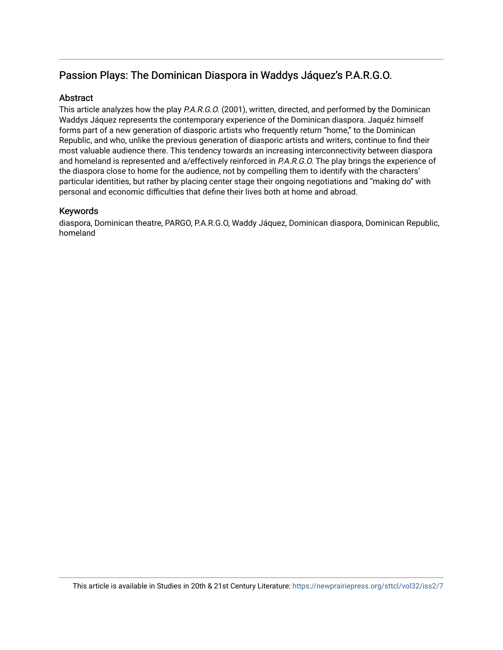## **Abstract**

This article analyzes how the play P.A.R.G.O. (2001), written, directed, and performed by the Dominican Waddys Jáquez represents the contemporary experience of the Dominican diaspora. Jaquéz himself forms part of a new generation of diasporic artists who frequently return "home," to the Dominican Republic, and who, unlike the previous generation of diasporic artists and writers, continue to find their most valuable audience there. This tendency towards an increasing interconnectivity between diaspora and homeland is represented and a/effectively reinforced in P.A.R.G.O. The play brings the experience of the diaspora close to home for the audience, not by compelling them to identify with the characters' particular identities, but rather by placing center stage their ongoing negotiations and "making do" with personal and economic difficulties that define their lives both at home and abroad.

## Keywords

diaspora, Dominican theatre, PARGO, P.A.R.G.O, Waddy Jáquez, Dominican diaspora, Dominican Republic, homeland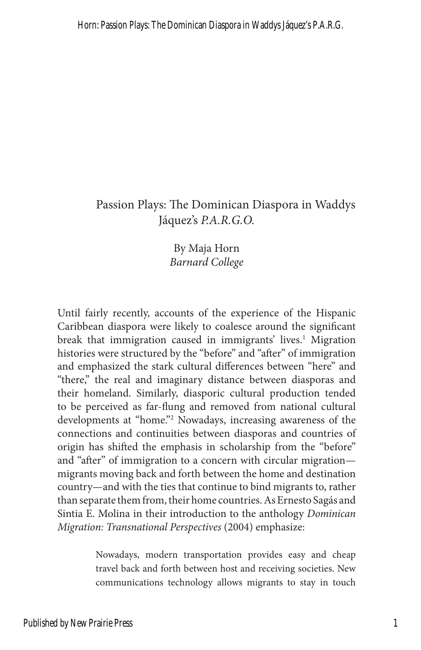By Maja Horn *Barnard College*

Until fairly recently, accounts of the experience of the Hispanic Caribbean diaspora were likely to coalesce around the significant break that immigration caused in immigrants' lives.<sup>1</sup> Migration histories were structured by the "before" and "after" of immigration and emphasized the stark cultural differences between "here" and "there," the real and imaginary distance between diasporas and their homeland. Similarly, diasporic cultural production tended to be perceived as far-flung and removed from national cultural developments at "home."2 Nowadays, increasing awareness of the connections and continuities between diasporas and countries of origin has shifted the emphasis in scholarship from the "before" and "after" of immigration to a concern with circular migration migrants moving back and forth between the home and destination country—and with the ties that continue to bind migrants to, rather than separate them from, their home countries. As Ernesto Sagás and Sintia E. Molina in their introduction to the anthology *Dominican Migration: Transnational Perspectives* (2004) emphasize:

> Nowadays, modern transportation provides easy and cheap travel back and forth between host and receiving societies. New communications technology allows migrants to stay in touch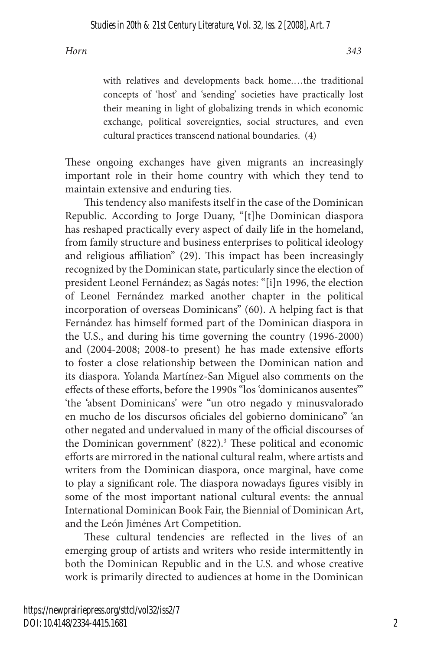with relatives and developments back home.…the traditional concepts of 'host' and 'sending' societies have practically lost their meaning in light of globalizing trends in which economic exchange, political sovereignties, social structures, and even cultural practices transcend national boundaries. (4)

These ongoing exchanges have given migrants an increasingly important role in their home country with which they tend to maintain extensive and enduring ties.

This tendency also manifests itself in the case of the Dominican Republic. According to Jorge Duany, "[t]he Dominican diaspora has reshaped practically every aspect of daily life in the homeland, from family structure and business enterprises to political ideology and religious affiliation" (29). This impact has been increasingly recognized by the Dominican state, particularly since the election of president Leonel Fernández; as Sagás notes: "[i]n 1996, the election of Leonel Fernández marked another chapter in the political incorporation of overseas Dominicans" (60). A helping fact is that Fernández has himself formed part of the Dominican diaspora in the U.S., and during his time governing the country (1996-2000) and (2004-2008; 2008-to present) he has made extensive efforts to foster a close relationship between the Dominican nation and its diaspora. Yolanda Martínez-San Miguel also comments on the effects of these efforts, before the 1990s "los 'dominicanos ausentes'" 'the 'absent Dominicans' were "un otro negado y minusvalorado en mucho de los discursos oficiales del gobierno dominicano" 'an other negated and undervalued in many of the official discourses of the Dominican government' (822).<sup>3</sup> These political and economic efforts are mirrored in the national cultural realm, where artists and writers from the Dominican diaspora, once marginal, have come to play a significant role. The diaspora nowadays figures visibly in some of the most important national cultural events: the annual International Dominican Book Fair, the Biennial of Dominican Art, and the León Jiménes Art Competition.

These cultural tendencies are reflected in the lives of an emerging group of artists and writers who reside intermittently in both the Dominican Republic and in the U.S. and whose creative work is primarily directed to audiences at home in the Dominican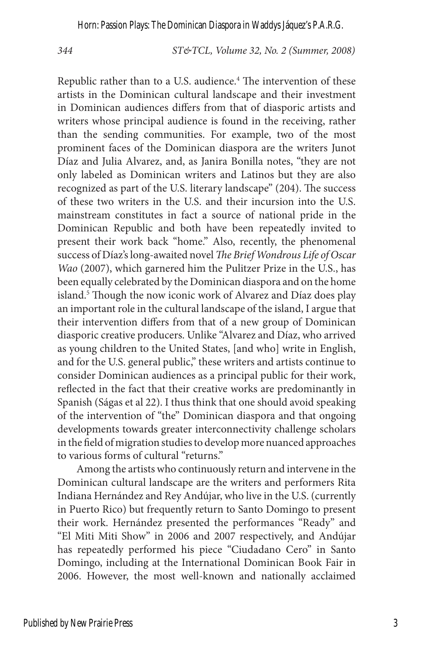*344 ST&TCL, Volume 32, No. 2 (Summer, 2008)*

Republic rather than to a U.S. audience.<sup>4</sup> The intervention of these artists in the Dominican cultural landscape and their investment in Dominican audiences differs from that of diasporic artists and writers whose principal audience is found in the receiving, rather than the sending communities. For example, two of the most prominent faces of the Dominican diaspora are the writers Junot Díaz and Julia Alvarez, and, as Janira Bonilla notes, "they are not only labeled as Dominican writers and Latinos but they are also recognized as part of the U.S. literary landscape" (204). The success of these two writers in the U.S. and their incursion into the U.S. mainstream constitutes in fact a source of national pride in the Dominican Republic and both have been repeatedly invited to present their work back "home." Also, recently, the phenomenal success of Díaz's long-awaited novel *The Brief Wondrous Life of Oscar Wao* (2007), which garnered him the Pulitzer Prize in the U.S., has been equally celebrated by the Dominican diaspora and on the home island.<sup>5</sup> Though the now iconic work of Alvarez and Díaz does play an important role in the cultural landscape of the island, I argue that their intervention differs from that of a new group of Dominican diasporic creative producers. Unlike "Alvarez and Díaz, who arrived as young children to the United States, [and who] write in English, and for the U.S. general public," these writers and artists continue to consider Dominican audiences as a principal public for their work, reflected in the fact that their creative works are predominantly in Spanish (Ságas et al 22). I thus think that one should avoid speaking of the intervention of "the" Dominican diaspora and that ongoing developments towards greater interconnectivity challenge scholars in the field of migration studies to develop more nuanced approaches to various forms of cultural "returns."

Among the artists who continuously return and intervene in the Dominican cultural landscape are the writers and performers Rita Indiana Hernández and Rey Andújar, who live in the U.S. (currently in Puerto Rico) but frequently return to Santo Domingo to present their work. Hernández presented the performances "Ready" and "El Miti Miti Show" in 2006 and 2007 respectively, and Andújar has repeatedly performed his piece "Ciudadano Cero" in Santo Domingo, including at the International Dominican Book Fair in 2006. However, the most well-known and nationally acclaimed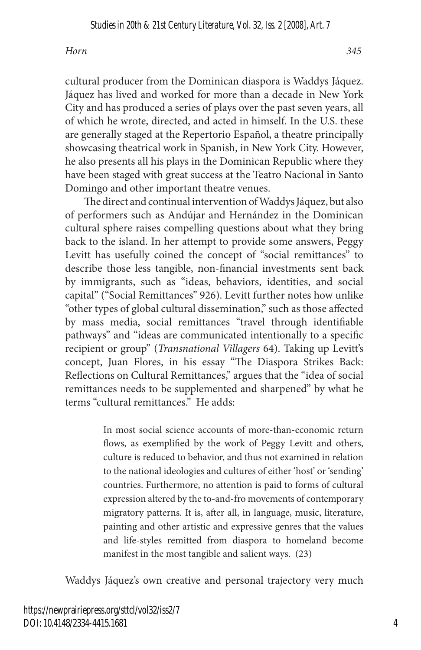cultural producer from the Dominican diaspora is Waddys Jáquez. Jáquez has lived and worked for more than a decade in New York City and has produced a series of plays over the past seven years, all of which he wrote, directed, and acted in himself. In the U.S. these are generally staged at the Repertorio Español, a theatre principally showcasing theatrical work in Spanish, in New York City. However, he also presents all his plays in the Dominican Republic where they have been staged with great success at the Teatro Nacional in Santo Domingo and other important theatre venues.

The direct and continual intervention of Waddys Jáquez, but also of performers such as Andújar and Hernández in the Dominican cultural sphere raises compelling questions about what they bring back to the island. In her attempt to provide some answers, Peggy Levitt has usefully coined the concept of "social remittances" to describe those less tangible, non-financial investments sent back by immigrants, such as "ideas, behaviors, identities, and social capital" ("Social Remittances" 926). Levitt further notes how unlike "other types of global cultural dissemination," such as those affected by mass media, social remittances "travel through identifiable pathways" and "ideas are communicated intentionally to a specific recipient or group" (*Transnational Villagers* 64). Taking up Levitt's concept, Juan Flores, in his essay "The Diaspora Strikes Back: Reflections on Cultural Remittances," argues that the "idea of social remittances needs to be supplemented and sharpened" by what he terms "cultural remittances." He adds:

> In most social science accounts of more-than-economic return flows, as exemplified by the work of Peggy Levitt and others, culture is reduced to behavior, and thus not examined in relation to the national ideologies and cultures of either 'host' or 'sending' countries. Furthermore, no attention is paid to forms of cultural expression altered by the to-and-fro movements of contemporary migratory patterns. It is, after all, in language, music, literature, painting and other artistic and expressive genres that the values and life-styles remitted from diaspora to homeland become manifest in the most tangible and salient ways. (23)

Waddys Jáquez's own creative and personal trajectory very much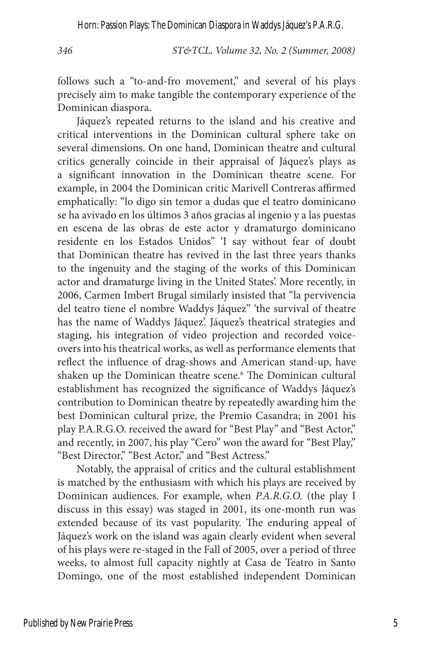*346 ST&TCL, Volume 32, No. 2 (Summer, 2008)*

follows such a "to-and-fro movement," and several of his plays precisely aim to make tangible the contemporary experience of the Dominican diaspora.

Jáquez's repeated returns to the island and his creative and critical interventions in the Dominican cultural sphere take on several dimensions. On one hand, Dominican theatre and cultural critics generally coincide in their appraisal of Jáquez's plays as a significant innovation in the Dominican theatre scene. For example, in 2004 the Dominican critic Marivell Contreras affirmed emphatically: "lo digo sin temor a dudas que el teatro dominicano se ha avivado en los últimos 3 años gracias al ingenio y a las puestas en escena de las obras de este actor y dramaturgo dominicano residente en los Estados Unidos" 'I say without fear of doubt that Dominican theatre has revived in the last three years thanks to the ingenuity and the staging of the works of this Dominican actor and dramaturge living in the United States'. More recently, in 2006, Carmen Imbert Brugal similarly insisted that "la pervivencia del teatro tiene el nombre Waddys Jáquez" 'the survival of theatre has the name of Waddys Jáquez'. Jáquez's theatrical strategies and staging, his integration of video projection and recorded voiceovers into his theatrical works, as well as performance elements that reflect the influence of drag-shows and American stand-up, have shaken up the Dominican theatre scene.<sup>6</sup> The Dominican cultural establishment has recognized the significance of Waddys Jáquez's contribution to Dominican theatre by repeatedly awarding him the best Dominican cultural prize, the Premio Casandra; in 2001 his play P.A.R.G.O. received the award for "Best Play" and "Best Actor," and recently, in 2007, his play "Cero" won the award for "Best Play," "Best Director," "Best Actor," and "Best Actress."

Notably, the appraisal of critics and the cultural establishment is matched by the enthusiasm with which his plays are received by Dominican audiences. For example, when *P.A.R.G.O.* (the play I discuss in this essay) was staged in 2001, its one-month run was extended because of its vast popularity. The enduring appeal of Jáquez's work on the island was again clearly evident when several of his plays were re-staged in the Fall of 2005, over a period of three weeks, to almost full capacity nightly at Casa de Teatro in Santo Domingo, one of the most established independent Dominican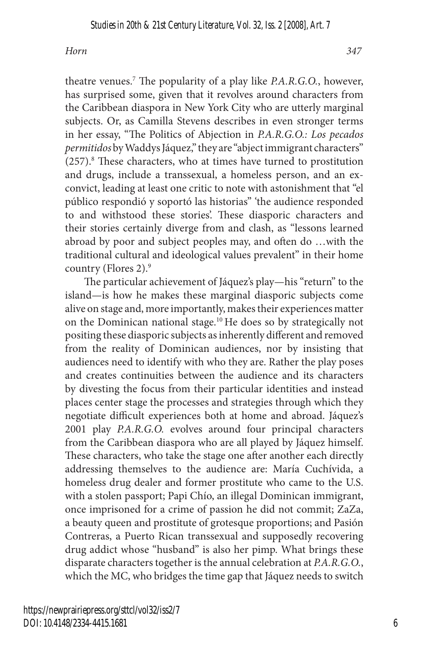theatre venues.<sup>7</sup> The popularity of a play like *P.A.R.G.O.*, however, has surprised some, given that it revolves around characters from the Caribbean diaspora in New York City who are utterly marginal subjects. Or, as Camilla Stevens describes in even stronger terms in her essay, "The Politics of Abjection in *P.A.R.G.O.: Los pecados permitidos* by Waddys Jáquez," they are "abject immigrant characters" (257).8 These characters, who at times have turned to prostitution and drugs, include a transsexual, a homeless person, and an exconvict, leading at least one critic to note with astonishment that "el público respondió y soportó las historias" 'the audience responded to and withstood these stories'. These diasporic characters and their stories certainly diverge from and clash, as "lessons learned abroad by poor and subject peoples may, and often do …with the traditional cultural and ideological values prevalent" in their home country (Flores 2).<sup>9</sup>

The particular achievement of Jáquez's play—his "return" to the island—is how he makes these marginal diasporic subjects come alive on stage and, more importantly, makes their experiences matter on the Dominican national stage.10 He does so by strategically not positing these diasporic subjects as inherently different and removed from the reality of Dominican audiences, nor by insisting that audiences need to identify with who they are. Rather the play poses and creates continuities between the audience and its characters by divesting the focus from their particular identities and instead places center stage the processes and strategies through which they negotiate difficult experiences both at home and abroad. Jáquez's 2001 play *P.A.R.G.O.* evolves around four principal characters from the Caribbean diaspora who are all played by Jáquez himself. These characters, who take the stage one after another each directly addressing themselves to the audience are: María Cuchívida, a homeless drug dealer and former prostitute who came to the U.S. with a stolen passport; Papi Chío, an illegal Dominican immigrant, once imprisoned for a crime of passion he did not commit; ZaZa, a beauty queen and prostitute of grotesque proportions; and Pasión Contreras, a Puerto Rican transsexual and supposedly recovering drug addict whose "husband" is also her pimp. What brings these disparate characters together is the annual celebration at *P.A.R.G.O.*, which the MC, who bridges the time gap that Jáquez needs to switch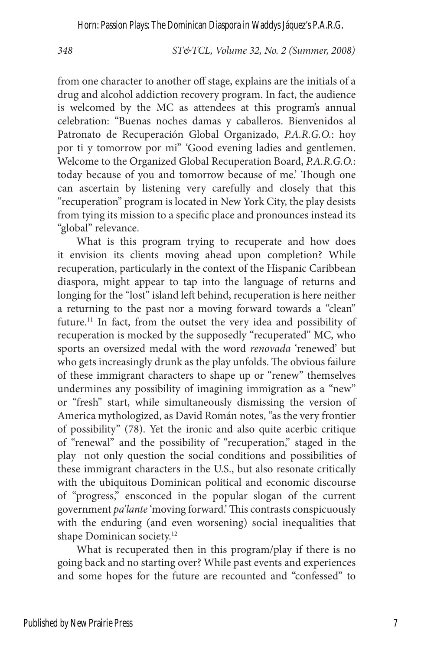*348 ST&TCL, Volume 32, No. 2 (Summer, 2008)*

from one character to another off stage, explains are the initials of a drug and alcohol addiction recovery program. In fact, the audience is welcomed by the MC as attendees at this program's annual celebration: "Buenas noches damas y caballeros. Bienvenidos al Patronato de Recuperación Global Organizado, *P.A.R.G.O.*: hoy por ti y tomorrow por mi" 'Good evening ladies and gentlemen. Welcome to the Organized Global Recuperation Board, *P.A.R.G.O.*: today because of you and tomorrow because of me.' Though one can ascertain by listening very carefully and closely that this "recuperation" program is located in New York City, the play desists from tying its mission to a specific place and pronounces instead its "global" relevance.

What is this program trying to recuperate and how does it envision its clients moving ahead upon completion? While recuperation, particularly in the context of the Hispanic Caribbean diaspora, might appear to tap into the language of returns and longing for the "lost" island left behind, recuperation is here neither a returning to the past nor a moving forward towards a "clean" future.11 In fact, from the outset the very idea and possibility of recuperation is mocked by the supposedly "recuperated" MC, who sports an oversized medal with the word *renovada* 'renewed' but who gets increasingly drunk as the play unfolds. The obvious failure of these immigrant characters to shape up or "renew" themselves undermines any possibility of imagining immigration as a "new" or "fresh" start, while simultaneously dismissing the version of America mythologized, as David Román notes, "as the very frontier of possibility" (78). Yet the ironic and also quite acerbic critique of "renewal" and the possibility of "recuperation," staged in the play not only question the social conditions and possibilities of these immigrant characters in the U.S., but also resonate critically with the ubiquitous Dominican political and economic discourse of "progress," ensconced in the popular slogan of the current government *pa'lante* 'moving forward.' This contrasts conspicuously with the enduring (and even worsening) social inequalities that shape Dominican society.<sup>12</sup>

What is recuperated then in this program/play if there is no going back and no starting over? While past events and experiences and some hopes for the future are recounted and "confessed" to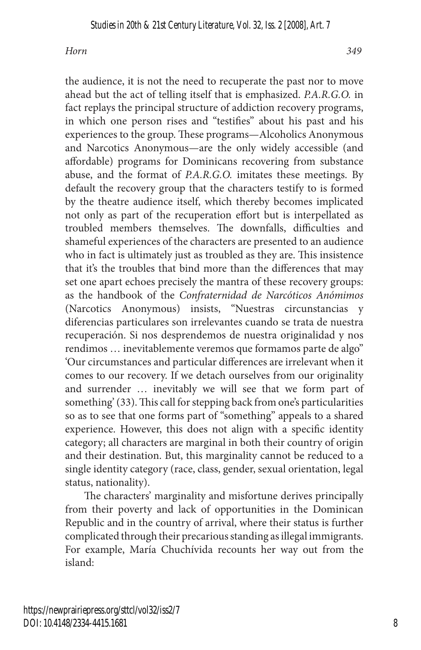the audience, it is not the need to recuperate the past nor to move ahead but the act of telling itself that is emphasized. *P.A.R.G.O.* in fact replays the principal structure of addiction recovery programs, in which one person rises and "testifies" about his past and his experiences to the group. These programs—Alcoholics Anonymous and Narcotics Anonymous—are the only widely accessible (and affordable) programs for Dominicans recovering from substance abuse, and the format of *P.A.R.G.O.* imitates these meetings. By default the recovery group that the characters testify to is formed by the theatre audience itself, which thereby becomes implicated not only as part of the recuperation effort but is interpellated as troubled members themselves. The downfalls, difficulties and shameful experiences of the characters are presented to an audience who in fact is ultimately just as troubled as they are. This insistence that it's the troubles that bind more than the differences that may set one apart echoes precisely the mantra of these recovery groups: as the handbook of the *Confraternidad de Narcóticos Anómimos* (Narcotics Anonymous) insists, "Nuestras circunstancias y diferencias particulares son irrelevantes cuando se trata de nuestra recuperación. Si nos desprendemos de nuestra originalidad y nos rendimos … inevitablemente veremos que formamos parte de algo" 'Our circumstances and particular differences are irrelevant when it comes to our recovery. If we detach ourselves from our originality and surrender … inevitably we will see that we form part of something' (33). This call for stepping back from one's particularities so as to see that one forms part of "something" appeals to a shared experience. However, this does not align with a specific identity category; all characters are marginal in both their country of origin and their destination. But, this marginality cannot be reduced to a single identity category (race, class, gender, sexual orientation, legal status, nationality).

The characters' marginality and misfortune derives principally from their poverty and lack of opportunities in the Dominican Republic and in the country of arrival, where their status is further complicated through their precarious standing as illegal immigrants. For example, María Chuchívida recounts her way out from the island: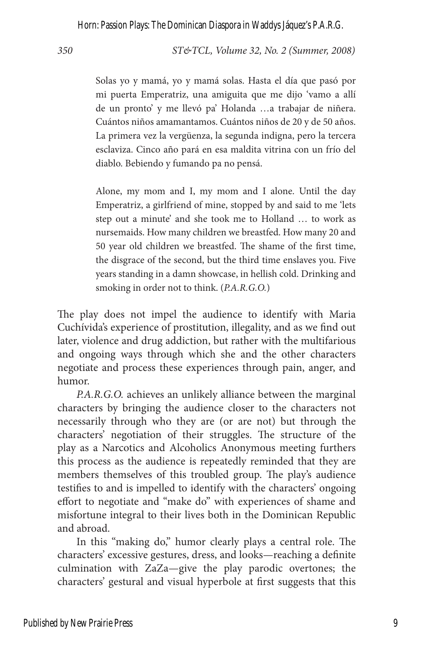*350 ST&TCL, Volume 32, No. 2 (Summer, 2008)*

Solas yo y mamá, yo y mamá solas. Hasta el día que pasó por mi puerta Emperatriz, una amiguita que me dijo 'vamo a allí de un pronto' y me llevó pa' Holanda …a trabajar de niñera. Cuántos niños amamantamos. Cuántos niños de 20 y de 50 años. La primera vez la vergüenza, la segunda indigna, pero la tercera esclaviza. Cinco año pará en esa maldita vitrina con un frío del diablo. Bebiendo y fumando pa no pensá.

Alone, my mom and I, my mom and I alone. Until the day Emperatriz, a girlfriend of mine, stopped by and said to me 'lets step out a minute' and she took me to Holland … to work as nursemaids. How many children we breastfed. How many 20 and 50 year old children we breastfed. The shame of the first time, the disgrace of the second, but the third time enslaves you. Five years standing in a damn showcase, in hellish cold. Drinking and smoking in order not to think. (*P.A.R.G.O.*)

The play does not impel the audience to identify with Maria Cuchívida's experience of prostitution, illegality, and as we find out later, violence and drug addiction, but rather with the multifarious and ongoing ways through which she and the other characters negotiate and process these experiences through pain, anger, and humor.

*P.A.R.G.O.* achieves an unlikely alliance between the marginal characters by bringing the audience closer to the characters not necessarily through who they are (or are not) but through the characters' negotiation of their struggles. The structure of the play as a Narcotics and Alcoholics Anonymous meeting furthers this process as the audience is repeatedly reminded that they are members themselves of this troubled group. The play's audience testifies to and is impelled to identify with the characters' ongoing effort to negotiate and "make do" with experiences of shame and misfortune integral to their lives both in the Dominican Republic and abroad.

In this "making do," humor clearly plays a central role. The characters' excessive gestures, dress, and looks—reaching a definite culmination with ZaZa—give the play parodic overtones; the characters' gestural and visual hyperbole at first suggests that this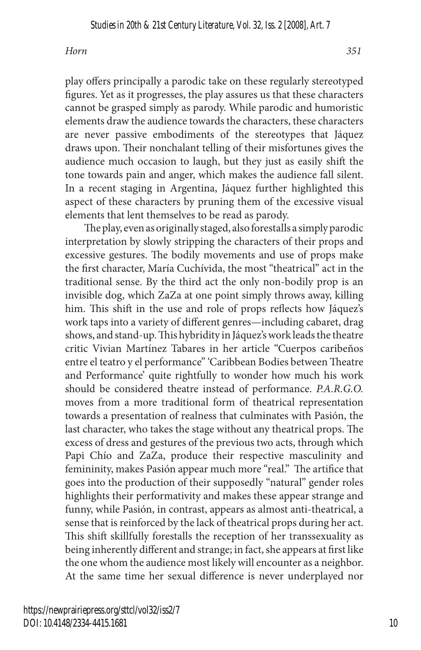play offers principally a parodic take on these regularly stereotyped figures. Yet as it progresses, the play assures us that these characters cannot be grasped simply as parody. While parodic and humoristic elements draw the audience towards the characters, these characters are never passive embodiments of the stereotypes that Jáquez draws upon. Their nonchalant telling of their misfortunes gives the audience much occasion to laugh, but they just as easily shift the tone towards pain and anger, which makes the audience fall silent. In a recent staging in Argentina, Jáquez further highlighted this aspect of these characters by pruning them of the excessive visual elements that lent themselves to be read as parody.

The play, even as originally staged, also forestalls a simply parodic interpretation by slowly stripping the characters of their props and excessive gestures. The bodily movements and use of props make the first character, María Cuchívida, the most "theatrical" act in the traditional sense. By the third act the only non-bodily prop is an invisible dog, which ZaZa at one point simply throws away, killing him. This shift in the use and role of props reflects how Jáquez's work taps into a variety of different genres—including cabaret, drag shows, and stand-up. This hybridity in Jáquez's work leads the theatre critic Vivian Martínez Tabares in her article "Cuerpos caribeños entre el teatro y el performance" 'Caribbean Bodies between Theatre and Performance' quite rightfully to wonder how much his work should be considered theatre instead of performance. *P.A.R.G.O.*  moves from a more traditional form of theatrical representation towards a presentation of realness that culminates with Pasión, the last character, who takes the stage without any theatrical props. The excess of dress and gestures of the previous two acts, through which Papi Chío and ZaZa, produce their respective masculinity and femininity, makes Pasión appear much more "real." The artifice that goes into the production of their supposedly "natural" gender roles highlights their performativity and makes these appear strange and funny, while Pasión, in contrast, appears as almost anti-theatrical, a sense that is reinforced by the lack of theatrical props during her act. This shift skillfully forestalls the reception of her transsexuality as being inherently different and strange; in fact, she appears at first like the one whom the audience most likely will encounter as a neighbor. At the same time her sexual difference is never underplayed nor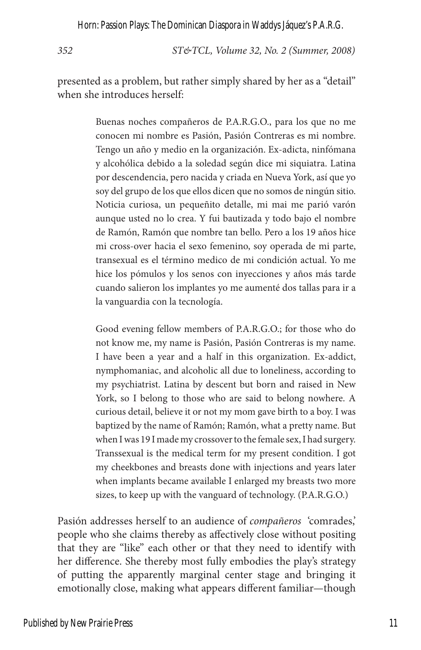*352 ST&TCL, Volume 32, No. 2 (Summer, 2008)*

presented as a problem, but rather simply shared by her as a "detail" when she introduces herself:

> Buenas noches compañeros de P.A.R.G.O., para los que no me conocen mi nombre es Pasión, Pasión Contreras es mi nombre. Tengo un año y medio en la organización. Ex-adicta, ninfómana y alcohólica debido a la soledad según dice mi siquiatra. Latina por descendencia, pero nacida y criada en Nueva York, así que yo soy del grupo de los que ellos dicen que no somos de ningún sitio. Noticia curiosa, un pequeñito detalle, mi mai me parió varón aunque usted no lo crea. Y fui bautizada y todo bajo el nombre de Ramón, Ramón que nombre tan bello. Pero a los 19 años hice mi cross-over hacia el sexo femenino, soy operada de mi parte, transexual es el término medico de mi condición actual. Yo me hice los pómulos y los senos con inyecciones y años más tarde cuando salieron los implantes yo me aumenté dos tallas para ir a la vanguardia con la tecnología.

> Good evening fellow members of P.A.R.G.O.; for those who do not know me, my name is Pasión, Pasión Contreras is my name. I have been a year and a half in this organization. Ex-addict, nymphomaniac, and alcoholic all due to loneliness, according to my psychiatrist. Latina by descent but born and raised in New York, so I belong to those who are said to belong nowhere. A curious detail, believe it or not my mom gave birth to a boy. I was baptized by the name of Ramón; Ramón, what a pretty name. But when I was 19 I made my crossover to the female sex, I had surgery. Transsexual is the medical term for my present condition. I got my cheekbones and breasts done with injections and years later when implants became available I enlarged my breasts two more sizes, to keep up with the vanguard of technology. (P.A.R.G.O.)

Pasión addresses herself to an audience of *compañeros* 'comrades,' people who she claims thereby as affectively close without positing that they are "like" each other or that they need to identify with her difference. She thereby most fully embodies the play's strategy of putting the apparently marginal center stage and bringing it emotionally close, making what appears different familiar—though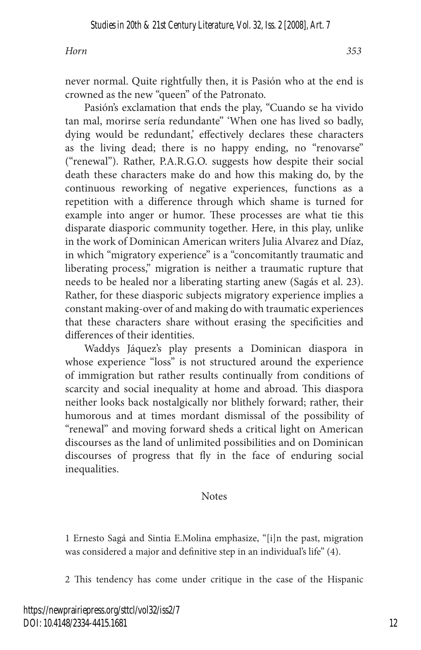never normal. Quite rightfully then, it is Pasión who at the end is crowned as the new "queen" of the Patronato.

Pasión's exclamation that ends the play, "Cuando se ha vivido tan mal, morirse sería redundante" 'When one has lived so badly, dying would be redundant,' effectively declares these characters as the living dead; there is no happy ending, no "renovarse" ("renewal"). Rather, P.A.R.G.O. suggests how despite their social death these characters make do and how this making do, by the continuous reworking of negative experiences, functions as a repetition with a difference through which shame is turned for example into anger or humor. These processes are what tie this disparate diasporic community together. Here, in this play, unlike in the work of Dominican American writers Julia Alvarez and Díaz, in which "migratory experience" is a "concomitantly traumatic and liberating process," migration is neither a traumatic rupture that needs to be healed nor a liberating starting anew (Sagás et al. 23). Rather, for these diasporic subjects migratory experience implies a constant making-over of and making do with traumatic experiences that these characters share without erasing the specificities and differences of their identities.

Waddys Jáquez's play presents a Dominican diaspora in whose experience "loss" is not structured around the experience of immigration but rather results continually from conditions of scarcity and social inequality at home and abroad. This diaspora neither looks back nostalgically nor blithely forward; rather, their humorous and at times mordant dismissal of the possibility of "renewal" and moving forward sheds a critical light on American discourses as the land of unlimited possibilities and on Dominican discourses of progress that fly in the face of enduring social inequalities.

#### Notes

1 Ernesto Sagá and Sintia E.Molina emphasize, "[i]n the past, migration was considered a major and definitive step in an individual's life" (4).

2 This tendency has come under critique in the case of the Hispanic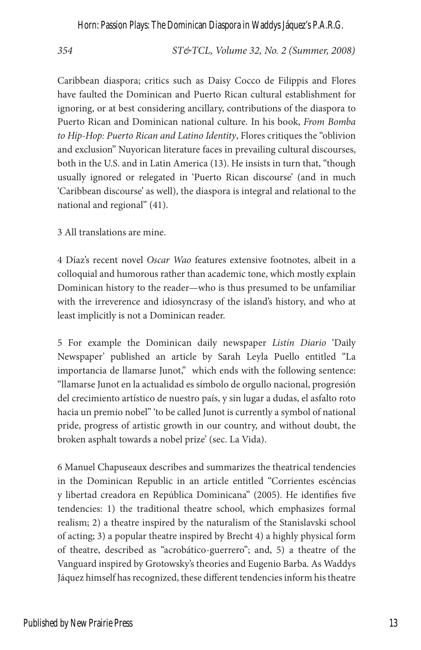*354 ST&TCL, Volume 32, No. 2 (Summer, 2008)*

Caribbean diaspora; critics such as Daisy Cocco de Filippis and Flores have faulted the Dominican and Puerto Rican cultural establishment for ignoring, or at best considering ancillary, contributions of the diaspora to Puerto Rican and Dominican national culture. In his book, *From Bomba to Hip-Hop: Puerto Rican and Latino Identity*, Flores critiques the "oblivion and exclusion" Nuyorican literature faces in prevailing cultural discourses, both in the U.S. and in Latin America (13). He insists in turn that, "though usually ignored or relegated in 'Puerto Rican discourse' (and in much 'Caribbean discourse' as well), the diaspora is integral and relational to the national and regional" (41).

3 All translations are mine.

4 Díaz's recent novel *Oscar Wao* features extensive footnotes, albeit in a colloquial and humorous rather than academic tone, which mostly explain Dominican history to the reader—who is thus presumed to be unfamiliar with the irreverence and idiosyncrasy of the island's history, and who at least implicitly is not a Dominican reader.

5 For example the Dominican daily newspaper *Listín Diario* 'Daily Newspaper' published an article by Sarah Leyla Puello entitled "La importancia de llamarse Junot," which ends with the following sentence: "llamarse Junot en la actualidad es símbolo de orgullo nacional, progresión del crecimiento artístico de nuestro país, y sin lugar a dudas, el asfalto roto hacia un premio nobel" 'to be called Junot is currently a symbol of national pride, progress of artistic growth in our country, and without doubt, the broken asphalt towards a nobel prize' (sec. La Vida).

6 Manuel Chapuseaux describes and summarizes the theatrical tendencies in the Dominican Republic in an article entitled "Corrientes escéncias y libertad creadora en República Dominicana" (2005). He identifies five tendencies: 1) the traditional theatre school, which emphasizes formal realism; 2) a theatre inspired by the naturalism of the Stanislavski school of acting; 3) a popular theatre inspired by Brecht 4) a highly physical form of theatre, described as "acrobático-guerrero"; and, 5) a theatre of the Vanguard inspired by Grotowsky's theories and Eugenio Barba. As Waddys Jáquez himself has recognized, these different tendencies inform his theatre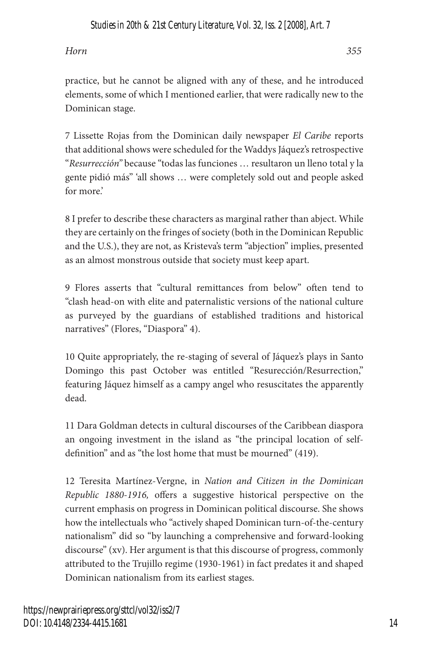practice, but he cannot be aligned with any of these, and he introduced elements, some of which I mentioned earlier, that were radically new to the Dominican stage.

7 Lissette Rojas from the Dominican daily newspaper *El Caribe* reports that additional shows were scheduled for the Waddys Jáquez's retrospective "*Resurrección"* because "todas las funciones … resultaron un lleno total y la gente pidió más" 'all shows … were completely sold out and people asked for more.'

8 I prefer to describe these characters as marginal rather than abject. While they are certainly on the fringes of society (both in the Dominican Republic and the U.S.), they are not, as Kristeva's term "abjection" implies, presented as an almost monstrous outside that society must keep apart.

9 Flores asserts that "cultural remittances from below" often tend to "clash head-on with elite and paternalistic versions of the national culture as purveyed by the guardians of established traditions and historical narratives" (Flores, "Diaspora" 4).

10 Quite appropriately, the re-staging of several of Jáquez's plays in Santo Domingo this past October was entitled "Resurección/Resurrection," featuring Jáquez himself as a campy angel who resuscitates the apparently dead.

11 Dara Goldman detects in cultural discourses of the Caribbean diaspora an ongoing investment in the island as "the principal location of selfdefinition" and as "the lost home that must be mourned" (419).

12 Teresita Martínez-Vergne, in *Nation and Citizen in the Dominican Republic 1880-1916,* offers a suggestive historical perspective on the current emphasis on progress in Dominican political discourse. She shows how the intellectuals who "actively shaped Dominican turn-of-the-century nationalism" did so "by launching a comprehensive and forward-looking discourse" (xv). Her argument is that this discourse of progress, commonly attributed to the Trujillo regime (1930-1961) in fact predates it and shaped Dominican nationalism from its earliest stages.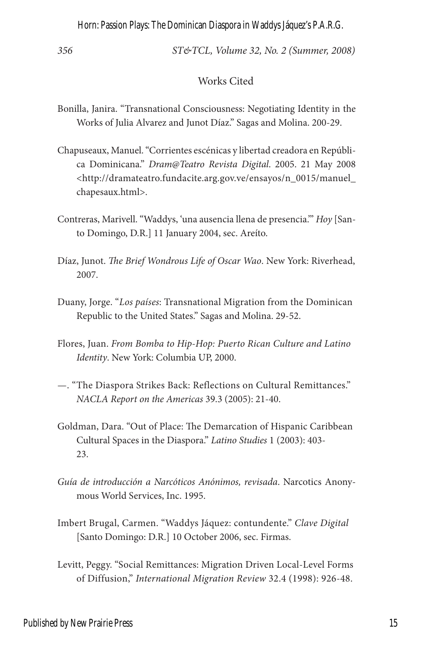*356 ST&TCL, Volume 32, No. 2 (Summer, 2008)*

#### Works Cited

- Bonilla, Janira. "Transnational Consciousness: Negotiating Identity in the Works of Julia Alvarez and Junot Díaz." Sagas and Molina. 200-29.
- Chapuseaux, Manuel. "Corrientes escénicas y libertad creadora en República Dominicana." *Dram@Teatro Revista Digital*. 2005. 21 May 2008 <http://dramateatro.fundacite.arg.gov.ve/ensayos/n\_0015/manuel\_ chapesaux.html>.
- Contreras, Marivell. "Waddys, 'una ausencia llena de presencia.'" *Hoy* [Santo Domingo, D.R.] 11 January 2004, sec. Areíto.
- Díaz, Junot. *The Brief Wondrous Life of Oscar Wao*. New York: Riverhead, 2007.
- Duany, Jorge. "*Los países*: Transnational Migration from the Dominican Republic to the United States." Sagas and Molina. 29-52.
- Flores, Juan. *From Bomba to Hip-Hop: Puerto Rican Culture and Latino Identity*. New York: Columbia UP, 2000.
- —. "The Diaspora Strikes Back: Reflections on Cultural Remittances." *NACLA Report on the Americas* 39.3 (2005): 21-40.
- Goldman, Dara. "Out of Place: The Demarcation of Hispanic Caribbean Cultural Spaces in the Diaspora." *Latino Studies* 1 (2003): 403- 23.
- *Guía de introducción a Narcóticos Anónimos, revisada*. Narcotics Anonymous World Services, Inc. 1995.
- Imbert Brugal, Carmen. "Waddys Jáquez: contundente." *Clave Digital* [Santo Domingo: D.R.] 10 October 2006, sec. Firmas.
- Levitt, Peggy. "Social Remittances: Migration Driven Local-Level Forms of Diffusion," *International Migration Review* 32.4 (1998): 926-48.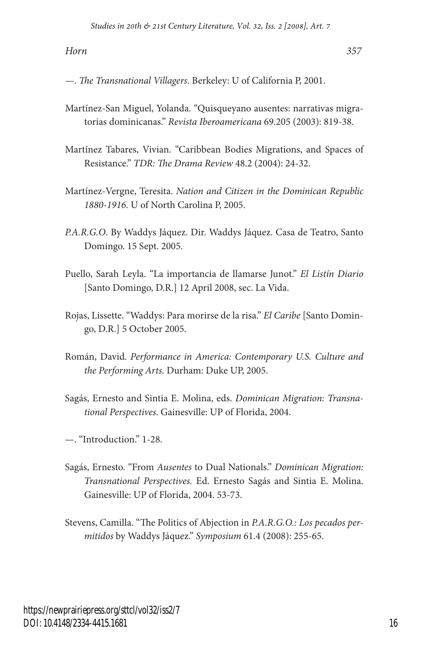—. *The Transnational Villagers*. Berkeley: U of California P, 2001.

- Martínez-San Miguel, Yolanda. "Quisqueyano ausentes: narrativas migratorias dominicanas." *Revista Iberoamericana* 69.205 (2003): 819-38.
- Martínez Tabares, Vivian. "Caribbean Bodies Migrations, and Spaces of Resistance." *TDR: The Drama Review* 48.2 (2004): 24-32.
- Martínez-Vergne, Teresita. *Nation and Citizen in the Dominican Republic 1880-1916*. U of North Carolina P, 2005.
- *P.A.R.G.O*. By Waddys Jáquez. Dir. Waddys Jáquez. Casa de Teatro, Santo Domingo. 15 Sept. 2005.
- Puello, Sarah Leyla. "La importancia de llamarse Junot." *El Listín Diario* [Santo Domingo, D.R.] 12 April 2008, sec. La Vida.
- Rojas, Lissette. "Waddys: Para morirse de la risa." *El Caribe* [Santo Domingo, D.R.] 5 October 2005.
- Román, David. *Performance in America: Contemporary U.S. Culture and the Performing Arts.* Durham: Duke UP, 2005.
- Sagás, Ernesto and Sintia E. Molina, eds. *Dominican Migration: Transnational Perspectives*. Gainesville: UP of Florida, 2004.
- —. "Introduction." 1-28.
- Sagás, Ernesto. "From *Ausentes* to Dual Nationals." *Dominican Migration: Transnational Perspectives.* Ed. Ernesto Sagás and Sintia E. Molina. Gainesville: UP of Florida, 2004. 53-73.
- Stevens, Camilla. "The Politics of Abjection in *P.A.R.G.O.: Los pecados permitidos* by Waddys Jáquez." *Symposium* 61.4 (2008): 255-65.